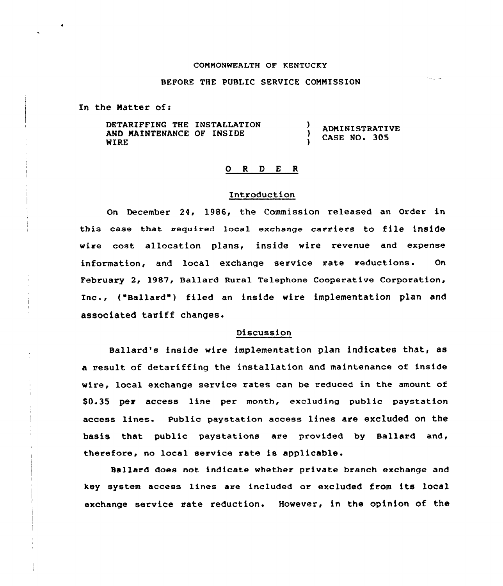## COMMONWEALTH OF KENTUCKY

## BEFORE THE PUBLIC SERVICE COMMISSION

In the Matter of:

DETARIFFING THE INSTALLATION AND MAINTENANCE OF INSIDE WIRE ADMINISTRATIVE CASE NO. 305

## 0 <sup>R</sup> 0 E <sup>R</sup>

#### Introduction

On December 24, 1986, the Commission released an Order in this case that acquired local exchange carriers to file inside wire cost allocation plans, inside wire revenue and expense information, and local exchange service rate reductions. On February 2, l987, Ballard Rural Telephone Cooperative Corporation, Inc., ("Ballard"j filed an inside wire implementation plan and associated tariff changes.

## Discussion

Ballard's inside wire implementation plan indicates that, as a result of detariffing the installation and maintenance of inside wire, local exchange service rates can be reduced in the amount of \$0.35 per access line per month, excluding public paystation access lines. Public paystation access lines are excluded on the basis that public paystations are provided by Ballard and, therefore, no local service rate is applicable.

Ballard does not indicate whether private branch exchange and key system access lines are included or excluded from its local exchange service rate reduction. However, in the opinion of the

فالدعاء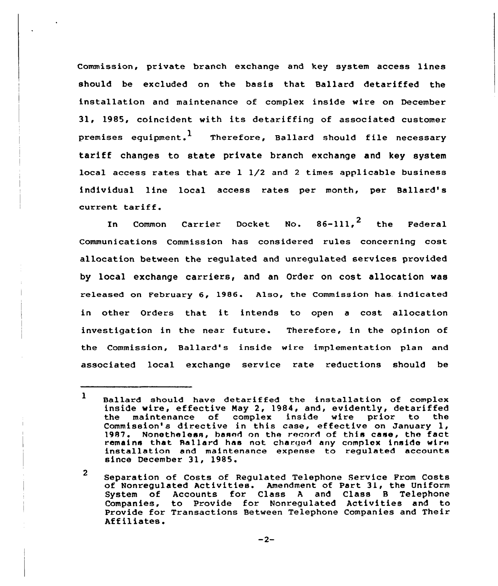Commission, private branch exchange and key system access lines should be excluded on the basis that Ballard detariffed the installation and maintenance of complex inside wire on December 31, 1985, coincident with its detariffing of associated customer premises equipment.<sup>1</sup> Therefore, Ballard should file necessary tariff changes to state private branch exchange and key system local access rates that are 1 1/2 and <sup>2</sup> times applicable business individual line local access rates per month, per Ballard's current tariff.

In Common Carrier Docket No.  $86-111$ ,  $2$  the Federal Communications Commission has considered rules concerning cost allocation between the regulated and unregulated services provided by local exchange carriers, and an Order on cost allocation was released on February 6, 1986. Also, the Commission has indicated in other Orders that it intends to open <sup>a</sup> cost allocation investigation in the near future. Therefore, in the opinion of the Commission, Ballard's inside wire implementation plan and associated local exchange service rate reductions should be

 $-2-$ 

<sup>1</sup> Ballard should have detariffed the installation of complex inside wire, effective May 2, 1984, and, evidently, detariffed<br>the maintenance of complex inside wire prior to the inside wire prior to Commission's directive in this case, effective on January 1,<br>1987. Nonetheless, based on the record of this case, the fact Nonetheless, hasnd on the record of this case, the fact remains that Rallard has not charged any complex inside wire installation and maintenance expense to regulated accounts since December 31, 1985.

<sup>2</sup> Separation ot Costs of Regulated Telephone Service From Costs of Nonregulated Activities. Amendment of Part 31, the Uniform System of Accounts for Class <sup>A</sup> and Class <sup>B</sup> Telephone Companies, to Provide for Nonregulated Activities and to Provide for Transactions Between Telephone Companies and Their Affiliates.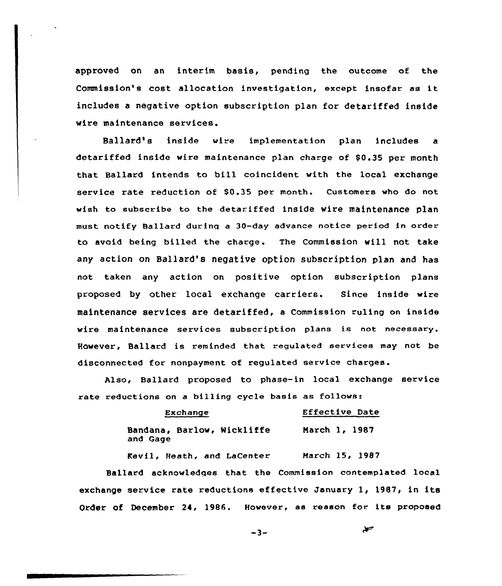approved on an interim basis, pending the outcome of the Commission's cost allocation investigation, except insofar as it includes a negative option subscription plan for detariffed inside wire maintenance services.

Ballard's inside wire implementation plan includes a detariffed inside wire maintenance plan charge of \$0.35 per month that Ballard intends to bill coincident with the local exchange service rate reduction of \$0.35 per month. Customers who do not wish to subscribe to the detariffed inside wire maintenance plan must notify Ballard during a 30-day advance notice period in order to avoid being billed the charge. The Commission vill not take any action on Ballard's negative option subscription plan and has not taken any action on positive option subscription plans proposed by other local exchange carriers. Since inside wire maintenance services are detarif fed, a Commission ruling on inside wire maintenance services subscription plans is not necessary. However, Ballard is reminded that regulated services may not be disconnected for nonpayment of regulated service charges.

Also, Ballard proposed to phase-in local exchange service rate reductions on a billing cycle basis as follows:

| Exchange |  |                                   | Effective Date |  |               |  |  |
|----------|--|-----------------------------------|----------------|--|---------------|--|--|
| and Gage |  | <b>Bandana, Barlow, Wickliffe</b> |                |  | March 1, 1987 |  |  |

Kevil, Heath, and LaCenter March l5, 1987

Ballard acknowledqes that the Commission contemplated local exchange service rate reductions effective January 1, 1987, in its Order of December 24, 1986. However, as reason for its proposed

$$
-3-
$$

معذ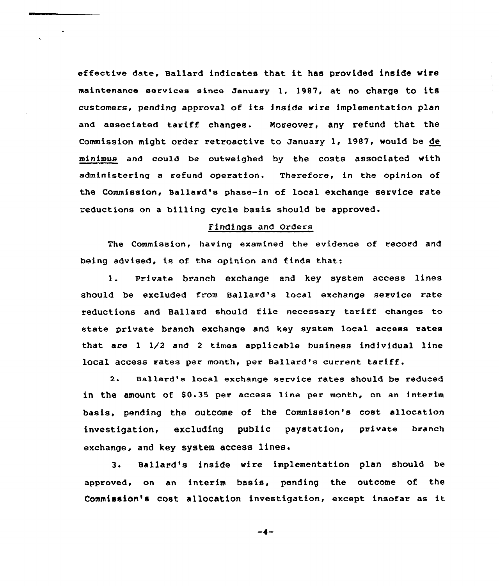effective date, Ballard indicates that it has provided inside wire maintenance services since January 1, 1987, at no charge to its customers, pending approval of its inside wire implementation plan and associated tariff changes. Moreover, any refund that the Commission might order retroactive to January 1, 1987, would be de minimus and could be outweighed by the costs associated with administering a refund operation. Therefore, in the opinion of the Commission, Sallard's phase-in af local exchange service rate =eductians on a billing cycle basis should be approved.

# Findings and Orders

The Commission, having examined the evidence of record and being advised, is of the opinion and finds that:

1. Private branch exchange and hey system access lines should be excluded from Ballard's local exchange service rate reductions and Ballard should file necessary tariff changes to state private branch exchange and key system local access rates that are <sup>1</sup> 1/2 and 2 times applicable business individual line local access rates per month, per Ballard's current tariff.

2. sallard's local exchange service rates should be reduced in the amount of \$0.35 per access line per month, on an interim basis, pending the outcome of the Commission's cost allocation investigation, excluding public paystation, private branch exchange, and key system access lines.

3. Sallard's inside wire implementation plan should be approved, on an interim basis, pending the outcome of the Commission's cost allocation investigation, except insofar as it

 $-4-$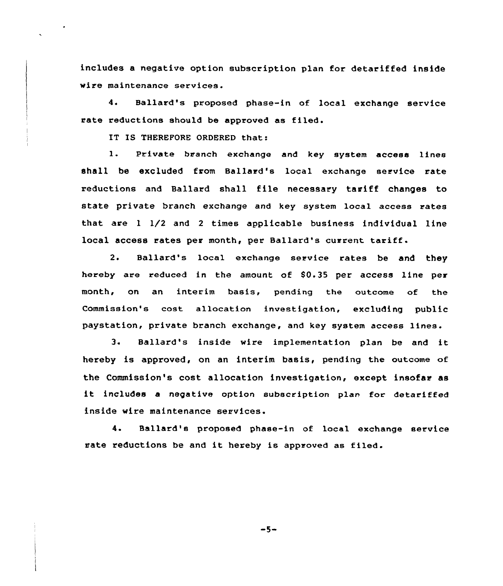includes a negative option subscription plan for detariffed inside wire maintenance services.

4. Ballard's proposed phase-in of local exchange service rate reductions should be approved as filed.

IT IS THEREFORE ORDERED that:

1. Private branch exchange and key system access lines shall be excluded from Ballard's local exchange service rate reductions and Ballard shall file necessary tariff changes to state private branch exchange and key system local access rates that are 1 1/2 and <sup>2</sup> times applicable business individual line local access rates per month, per Ballard's current tariff.

2. Ballard's local exchange service rates be and they hereby are reduced in the amount of  $$0.35$  per access line per month, on an interim basis, pending the outcome of the Commission's cost allocation investigation, excluding public paystation, private branch exchange, and key system access lines.

3. Ballard's inside wire implementation plan be and it hereby is approved, on an interim basis, pending the outcome of the Commission's cost allocation investigation, except insofar as it includes <sup>a</sup> negative option subscription plan for detariffed inside wire maintenance services.

4. Ballard's proposed phase-in of local exchange service rate reductions be and it hereby is approved as filed.

 $-5-$